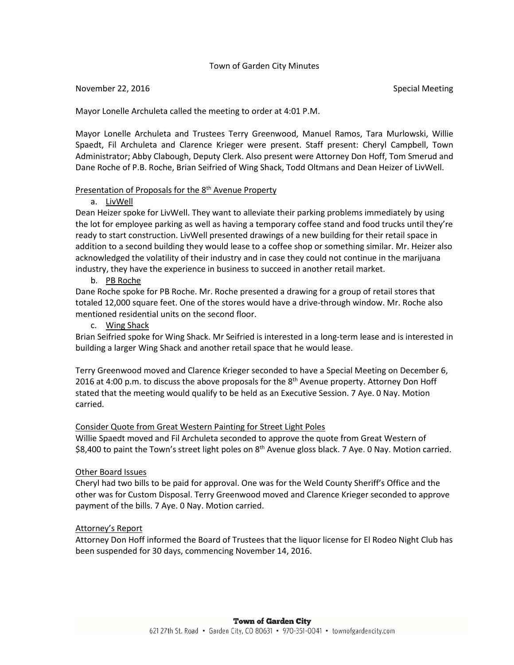## Town of Garden City Minutes

#### November 22, 2016 Special Meeting

Mayor Lonelle Archuleta called the meeting to order at 4:01 P.M.

Mayor Lonelle Archuleta and Trustees Terry Greenwood, Manuel Ramos, Tara Murlowski, Willie Spaedt, Fil Archuleta and Clarence Krieger were present. Staff present: Cheryl Campbell, Town Administrator; Abby Clabough, Deputy Clerk. Also present were Attorney Don Hoff, Tom Smerud and Dane Roche of P.B. Roche, Brian Seifried of Wing Shack, Todd Oltmans and Dean Heizer of LivWell.

## Presentation of Proposals for the 8<sup>th</sup> Avenue Property

#### a. LivWell

Dean Heizer spoke for LivWell. They want to alleviate their parking problems immediately by using the lot for employee parking as well as having a temporary coffee stand and food trucks until they're ready to start construction. LivWell presented drawings of a new building for their retail space in addition to a second building they would lease to a coffee shop or something similar. Mr. Heizer also acknowledged the volatility of their industry and in case they could not continue in the marijuana industry, they have the experience in business to succeed in another retail market.

b. PB Roche

Dane Roche spoke for PB Roche. Mr. Roche presented a drawing for a group of retail stores that totaled 12,000 square feet. One of the stores would have a drive-through window. Mr. Roche also mentioned residential units on the second floor.

c. Wing Shack

Brian Seifried spoke for Wing Shack. Mr Seifried is interested in a long-term lease and is interested in building a larger Wing Shack and another retail space that he would lease.

Terry Greenwood moved and Clarence Krieger seconded to have a Special Meeting on December 6, 2016 at 4:00 p.m. to discuss the above proposals for the  $8<sup>th</sup>$  Avenue property. Attorney Don Hoff stated that the meeting would qualify to be held as an Executive Session. 7 Aye. 0 Nay. Motion carried.

#### Consider Quote from Great Western Painting for Street Light Poles

Willie Spaedt moved and Fil Archuleta seconded to approve the quote from Great Western of \$8,400 to paint the Town's street light poles on 8<sup>th</sup> Avenue gloss black. 7 Aye. 0 Nay. Motion carried.

#### Other Board Issues

Cheryl had two bills to be paid for approval. One was for the Weld County Sheriff's Office and the other was for Custom Disposal. Terry Greenwood moved and Clarence Krieger seconded to approve payment of the bills. 7 Aye. 0 Nay. Motion carried.

#### Attorney's Report

Attorney Don Hoff informed the Board of Trustees that the liquor license for El Rodeo Night Club has been suspended for 30 days, commencing November 14, 2016.